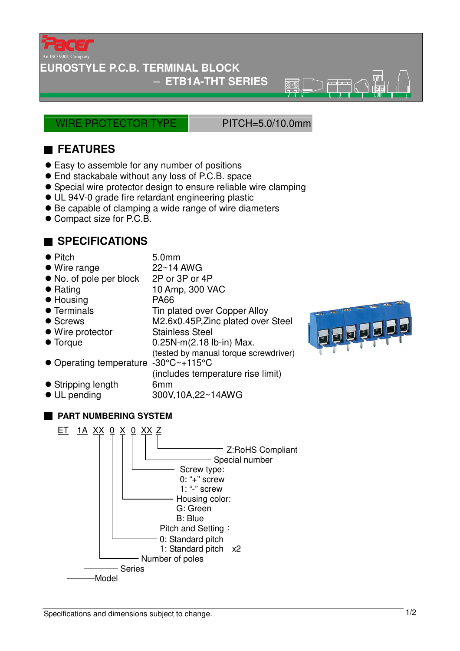

An ISO 9001 Company

#### **EUROSTYLE P.C.B. TERMINAL BLOCK**

− **ETB1A-THT SERIES** 

WIRE PROTECTOR TYPE PITCH=5.0/10.0mm

জক্ক

## ■ **FEATURES**

- Easy to assemble for any number of positions
- End stackabale without any loss of P.C.B. space
- Special wire protector design to ensure reliable wire clamping
- UL 94V-0 grade fire retardant engineering plastic
- Be capable of clamping a wide range of wire diameters
- Compact size for P.C.B.

### ■ **SPECIFICATIONS**

- Pitch 5.0mm<br>● Wire range 22~14 AWG
- $\bullet$  Wire range
- No. of pole per block 2P or 3P or 4P
- Rating 10 Amp, 300 VAC
- Housing PA66
- Terminals Tin plated over Copper Alloy
- Screws M2.6x0.45P,Zinc plated over Steel
- Wire protector Stainless Steel
- $\bullet$  Torque  $0.25N-m(2.18$  lb-in) Max.
- Operating temperature -30°C~+115°C
	- (includes temperature rise limit)

(tested by manual torque screwdriver)

- Stripping length 6mm
- UL pending 300V,10A,22~14AWG
- **PART NUMBERING SYSTEM**